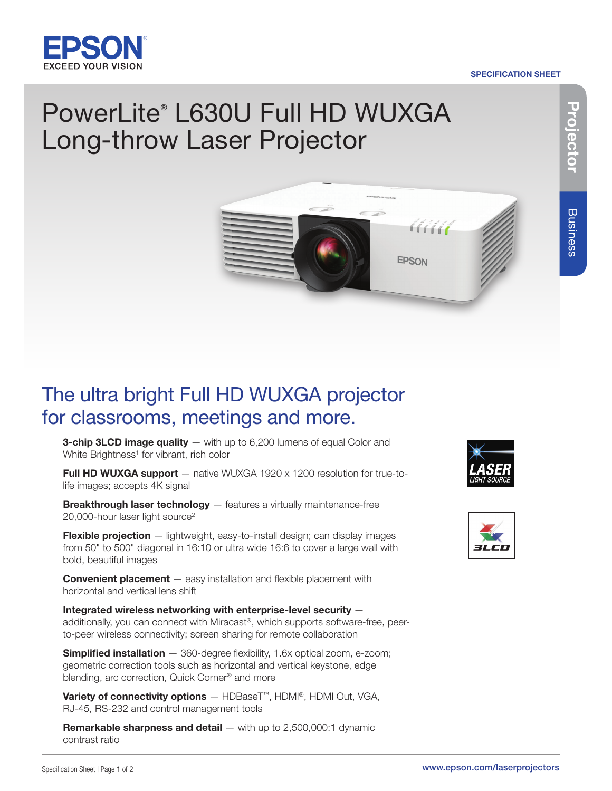

#### SPECIFICATION SHEET

# **P r oje c t o r**

## PowerLite® L630U Full HD WUXGA Long-throw Laser Projector



### The ultra bright Full HD WUXGA projector for classrooms, meetings and more.

**3-chip 3LCD image quality**  $-$  with up to 6,200 lumens of equal Color and White Brightness<sup>1</sup> for vibrant, rich color

**Full HD WUXGA support**  $-$  native WUXGA 1920 x 1200 resolution for true-tolife images; accepts 4K signal

**Breakthrough laser technology** - features a virtually maintenance-free 20,000-hour laser light source<sup>2</sup>

Flexible projection - lightweight, easy-to-install design; can display images from 50" to 500" diagonal in 16:10 or ultra wide 16:6 to cover a large wall with bold, beautiful images

**Convenient placement** – easy installation and flexible placement with horizontal and vertical lens shift

Integrated wireless networking with enterprise-level security additionally, you can connect with Miracast®, which supports software-free, peerto-peer wireless connectivity; screen sharing for remote collaboration

Simplified installation - 360-degree flexibility, 1.6x optical zoom, e-zoom; geometric correction tools such as horizontal and vertical keystone, edge blending, arc correction, Quick Corner® and more

Variety of connectivity options - HDBaseT<sup>™</sup>, HDMI®, HDMI Out, VGA, RJ-45, RS-232 and control management tools

**Remarkable sharpness and detail**  $-$  **with up to 2,500,000:1 dynamic** contrast ratio